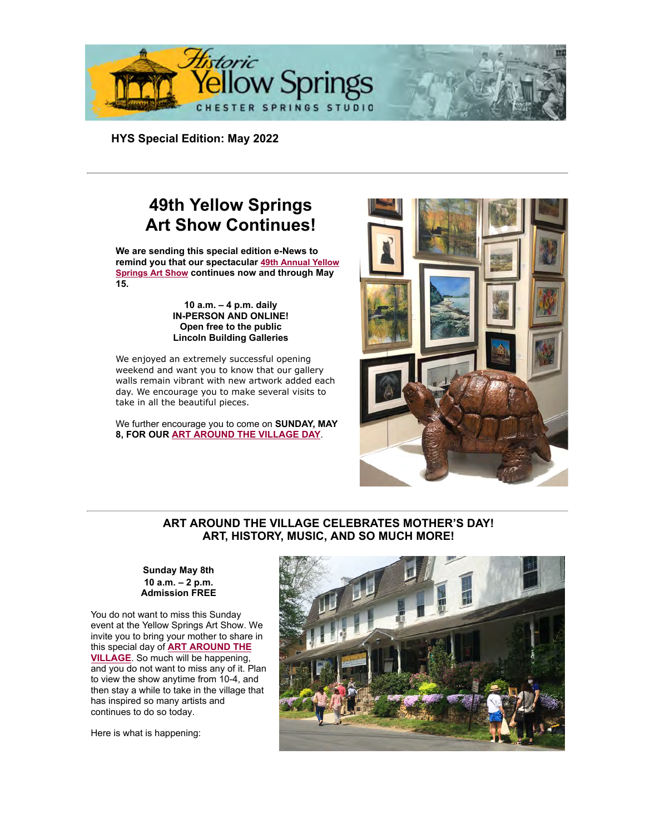

**HYS Special Edition: May 2[022](https://cts.vresp.com/fbl?5f08d710c0/d6373be450/http%3A%2F%2Fapi.addthis.com%2Foexchange%2F0.8%2Fforward%2Ffacebook%2Foffer%3Ftemplate%3D%257B%257Btitle%257D%257D%2B%257B%257Burl%257D%257D%26url%3Dhttp%253A%252F%252Fhosted-p0.vresp.com%252F299375%252F5f08d710c0%252FARCHIVE%26shortener%3Dbitly%26title%3DHYS%2BSpecial%2BEdition%253A%2BMay%2B2022)**

# **49th Yellow Springs [Art Show Continues!](https://cts.vresp.com/c/?HistoricYellowSpring/5f08d710c0/d6373be450/adc97bef95)**

**We are sending this special edition e-News to remind you that our spectacular 49th Annual Yellow Springs Art Show continues now and through May 15.**

#### **10 a.m. – 4 p.m. daily IN-PERSON AND ONLINE! Open free to the public Lincoln Building Galleries**

We enjoyed an extremely successful opening weekend and want you to know that our gallery walls remain vibrant with new artwork added each day. We encourage you to make several visits to take in all the beautiful pieces.

We further encourage you to come on **SUNDAY, MAY [8, FOR OUR ART AROUND THE VILLAGE DAY](https://cts.vresp.com/c/?HistoricYellowSpring/5f08d710c0/d6373be450/d165bbad27)**.



### **ART AROUND THE VILLAGE CELEBRATES MOTHER'S DAY! ART, HISTORY, MUSIC, AND SO MUCH MORE!**

#### **Sunday May 8th 10 a.m. – 2 p.m. Admission FREE**

You do not want to miss this Sunday event at the Yellow Springs Art Show. We invite you to bring your mother to share in this special day of **ART AROUND THE VILLAGE**. So much will be happening, and you do not want to miss any of it. Plan to view the show anytime from 10-4, and then stay a while to take in the village that has inspired so many artists and continues to do so today.

Here is what is happening:

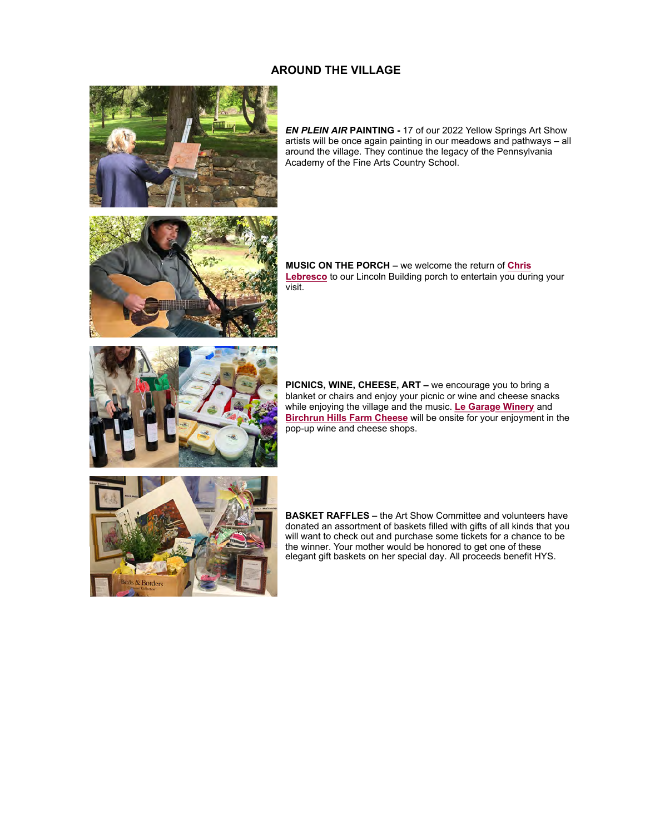### **AROUND THE VILLAGE**



*EN PLEIN AIR* **PAINTING -** 17 of our 2022 Yellow Springs Art Show artists will be once again painting in our meadows and pathways – all around the village. They continue the legacy of the Pennsylvania Academy of the Fine Arts Country School.



**MUSIC ON THE PORCH –** we welcome the return of **Chris** Lebresco to our Lincoln Building porch to entertain you during your visit.



**PICNICS, WINE, CHEESE, ART –** we encourage you to bring a blanket or chairs and enjoy your picnic or wine and cheese snacks while enjoying the village and the music. **[Le Garage Winery](https://cts.vresp.com/c/?HistoricYellowSpring/5f08d710c0/d6373be450/48fb2fe644)** and **[Birchrun Hills Farm Cheese](https://cts.vresp.com/c/?HistoricYellowSpring/5f08d710c0/d6373be450/115e80f12a)** will be onsite for your enjoyment in the pop-up wine and cheese shops.



**BASKET RAFFLES –** [the Art Show Committee and voluntee](https://cts.vresp.com/c/?HistoricYellowSpring/5f08d710c0/d6373be450/8af7631ef0)rs have donated an assortment of baskets filled with gifts of all kinds that you will want to check out and purchase some tickets for a chance to be the winner. Your mother would be honored to get one of these elegant gift baskets on her special day. All proceeds benefit HYS.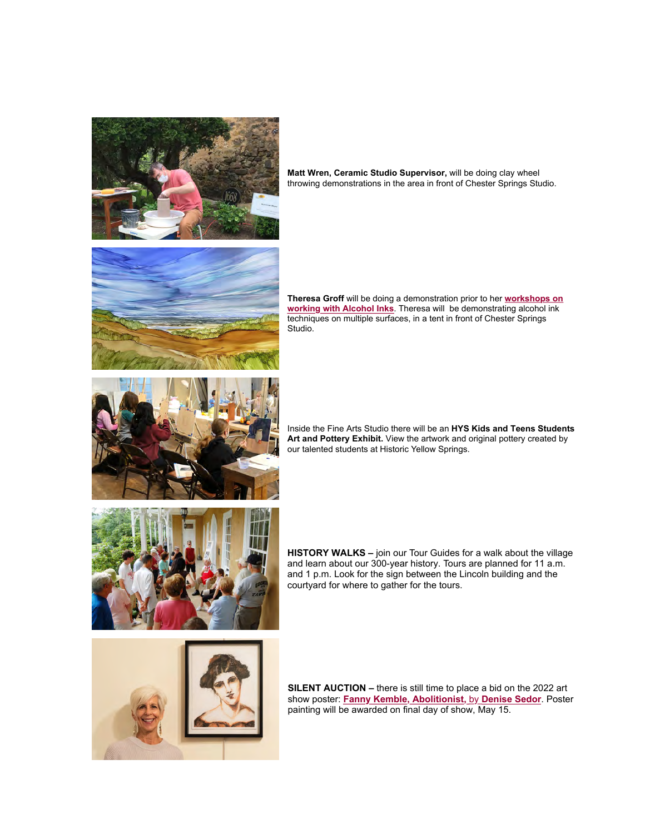

**Matt Wren, Ceramic Studio Supervisor,** will be doing clay wheel throwing demonstrations in the area in front of Chester Springs Studio.



**Theresa Groff** will be doing a demonstration prior to her **workshops on working with Alcohol Inks**[. Theresa will be demonstrating alcohol ink](https://cts.vresp.com/c/?HistoricYellowSpring/5f08d710c0/d6373be450/a48274a937) techniques on multiple surfaces, in a tent in front of Chester Springs Studio.



Inside the Fine Arts Studio there will be an **HYS Kids and Teens Students Art and Pottery Exhibit.** View the artwork and original pottery created by our talented students at Historic Yellow Springs.



**HISTORY WALKS –** join our Tour Guides for a walk about the village and learn about our 300-year history. Tours are planned for 11 a.m. and 1 p.m. Look for the sign between the Lincoln building and the courtyard for where to gather for the tours.



**SILENT AUCTION –** there is still time to place a bid on the 2022 art show poster: **[Fanny Kemble, Abolitionist,](https://cts.vresp.com/c/?HistoricYellowSpring/5f08d710c0/d6373be450/6148d091e7)** by **Denise Sedor**. Poster painting will be awarded on final day of show, May 15.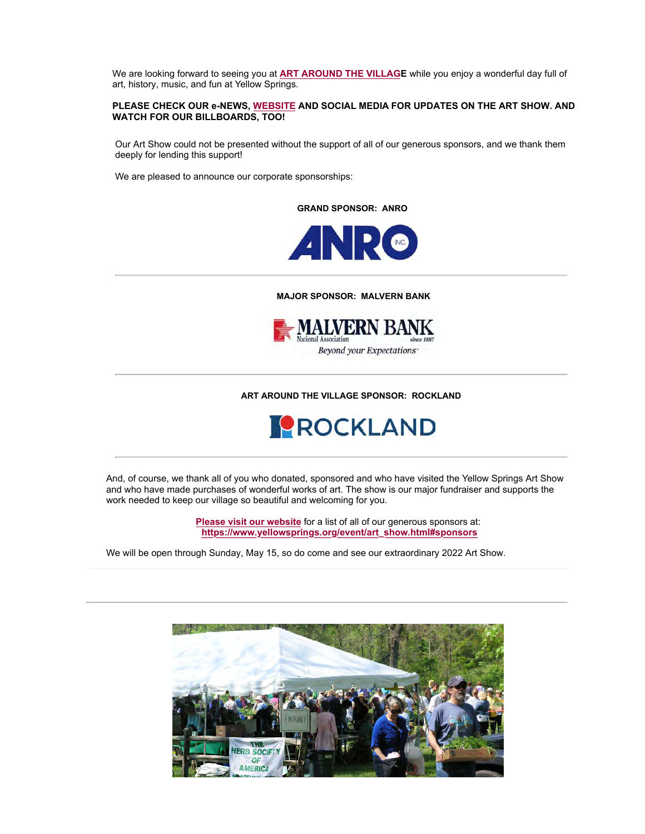We are looking forward to seeing you at **[ART AROUND THE VILLAG](https://cts.vresp.com/c/?HistoricYellowSpring/5f08d710c0/d6373be450/68a2add1a6)E** while you enjoy a wonderful day full of art, history, music, and fun at Yellow Springs.

#### **PLEASE CHECK OUR e-NEWS, [WEBSITE](https://cts.vresp.com/c/?HistoricYellowSpring/5f08d710c0/d6373be450/8c256c843c) AND SOCIAL MEDIA FOR UPDATES ON THE ART SHOW. AND WATCH FOR OUR BILLBOARDS, TOO!**

Our Art Show could not be presented without the support of all of our generous sponsors, and we thank them deeply for lending this support!

We are pleased to announce our corporate sponsorships:

**GRAND SPONSOR: ANRO**



 **MAJOR SPONSOR: MALVERN BANK**



**ART AROUND THE VILLAGE SPONSOR: ROCKLAND**



And, of course, we thank all of you who donated, sponsored and who have visited the Yellow Springs Art Show and who have made purchases of wonderful works of art. The show is our major fundraiser and supports the work needed to keep our village so beautiful and welcoming for you.

> **[Please visit our website](https://cts.vresp.com/c/?HistoricYellowSpring/5f08d710c0/d6373be450/6e1619b5b3)** for a list of all of our generous sponsors at: **[https://www.yellowsprings.org/event/art\\_show.html#sponsors](https://cts.vresp.com/c/?HistoricYellowSpring/5f08d710c0/d6373be450/c4ffd941fd)**

We will be open through Sunday, May 15, so do come and see our extraordinary 2022 Art Show.

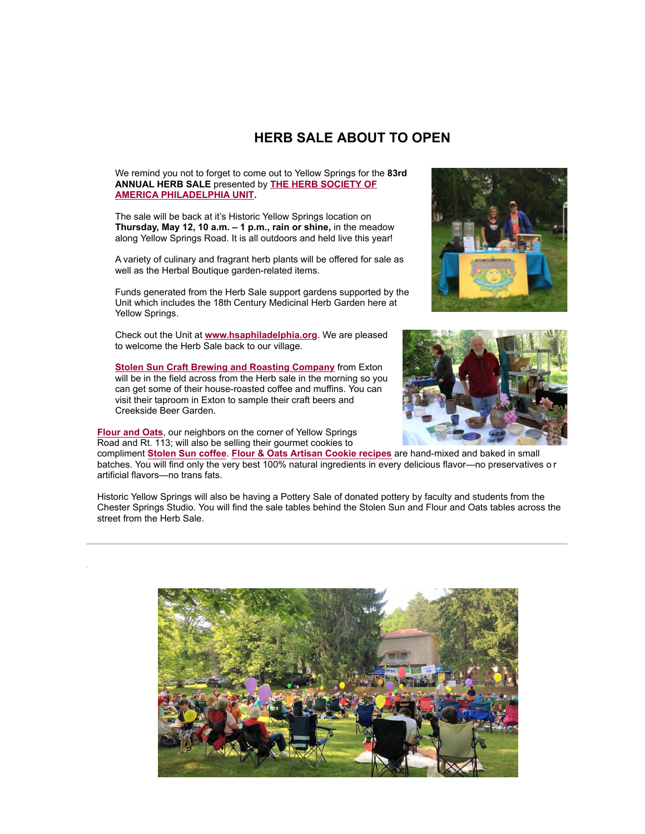### **HERB SALE ABOUT TO OPEN**

We remind you not to forget to come out to Yellow Springs for the **83rd ANNUAL HERB SALE** presented by **THE HERB SOCIETY OF [AMERICA PHILADELPHIA UNIT.](https://cts.vresp.com/c/?HistoricYellowSpring/5f08d710c0/d6373be450/2804bff2b5)**

The sale will be back at it's Historic Yellow Springs location on **Thursday, May 12, 10 a.m. – 1 p.m., rain or shine,** in the meadow along Yellow Springs Road. It is all outdoors and held live this year!

A variety of culinary and fragrant herb plants will be offered for sale as well as the Herbal Boutique garden-related items.

Funds generated from the Herb Sale support gardens supported by the Unit which includes the 18th Century Medicinal Herb Garden here at Yellow Springs.

Check out the Unit at **[www.hsaphiladelphia.org](https://cts.vresp.com/c/?HistoricYellowSpring/5f08d710c0/d6373be450/dd51adfb96)**. We are pleased to welcome the Herb Sale back to our village.





**[Stolen Sun Craft Brewing and Roasting Company](https://cts.vresp.com/c/?HistoricYellowSpring/5f08d710c0/d6373be450/5cd1d64c86)** from Exton will be in the field across from the Herb sale in the morning so you can get some of their house-roasted coffee and muffins. You can visit their taproom in Exton to sample their craft beers and Creekside Beer Garden.

**[Flour and Oats](https://cts.vresp.com/c/?HistoricYellowSpring/5f08d710c0/d6373be450/ae17e7db70)**, our neighbors on the corner of Yellow Springs Road and Rt. 113; will also be selling their gourmet cookies to

compliment **[Stolen Sun coffee](https://cts.vresp.com/c/?HistoricYellowSpring/5f08d710c0/d6373be450/f521e8b41b)**. **[Flour & Oats Artisan Cookie recipes](https://cts.vresp.com/c/?HistoricYellowSpring/5f08d710c0/d6373be450/1f7026ff76)** are hand-mixed and baked in small batches. You will find only the very best 100% natural ingredients in every delicious flavor—no preservatives o r artificial flavors—no trans fats.

Historic Yellow Springs will also be having a Pottery Sale of donated pottery by faculty and students from the Chester Springs Studio. You will find the sale tables behind the Stolen Sun and Flour and Oats tables across the street from the Herb Sale.

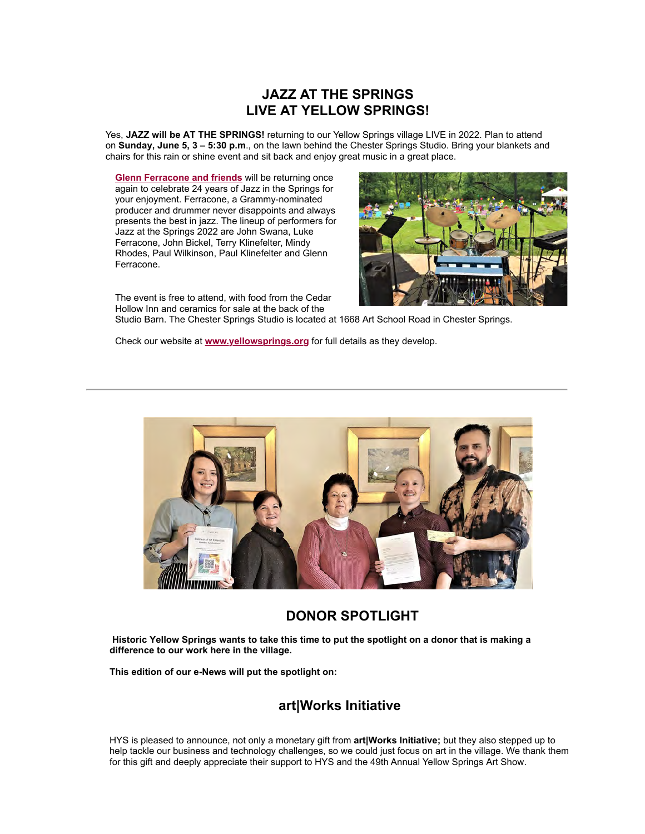# **JAZZ AT THE SPRINGS LIVE AT YELLOW SPRINGS!**

Yes, **JAZZ will be AT THE SPRINGS!** returning to our Yellow Springs village LIVE in 2022. Plan to attend on **Sunday, June 5, 3 – 5:30 p.m**., on the lawn behind the Chester Springs Studio. Bring your blankets and chairs for this rain or shine event and sit back and enjoy great music in a great place.

**[Glenn Ferracone and friends](https://cts.vresp.com/c/?HistoricYellowSpring/5f08d710c0/d6373be450/2fcde53159)** will be returning once again to celebrate 24 years of Jazz in the Springs for your enjoyment. Ferracone, a Grammy-nominated producer and drummer never disappoints and always presents the best in jazz. The lineup of performers for Jazz at the Springs 2022 are John Swana, Luke Ferracone, John Bickel, Terry Klinefelter, Mindy Rhodes, Paul Wilkinson, Paul Klinefelter and Glenn Ferracone.



The event is free to attend, with food from the Cedar Hollow Inn and ceramics for sale at the back of the

Studio Barn. The Chester Springs Studio is located at 1668 Art School Road in Chester Springs.

Check our website at **[www.yellowsprings.org](https://cts.vresp.com/c/?HistoricYellowSpring/5f08d710c0/d6373be450/2a3c8f22bb)** for full details as they develop.



## **DONOR SPOTLIGHT**

**Historic Yellow Springs wants to take this time to put the spotlight on a donor that is making a difference to our work here in the village.**

**This edition of our e-News will put the spotlight on:**

## **art|Works Initiative**

HYS is pleased to announce, not only a monetary gift from **art|Works Initiative;** but they also stepped up to help tackle our business and technology challenges, so we could just focus on art in the village. We thank them for this gift and deeply appreciate their support to HYS and the 49th Annual Yellow Springs Art Show.